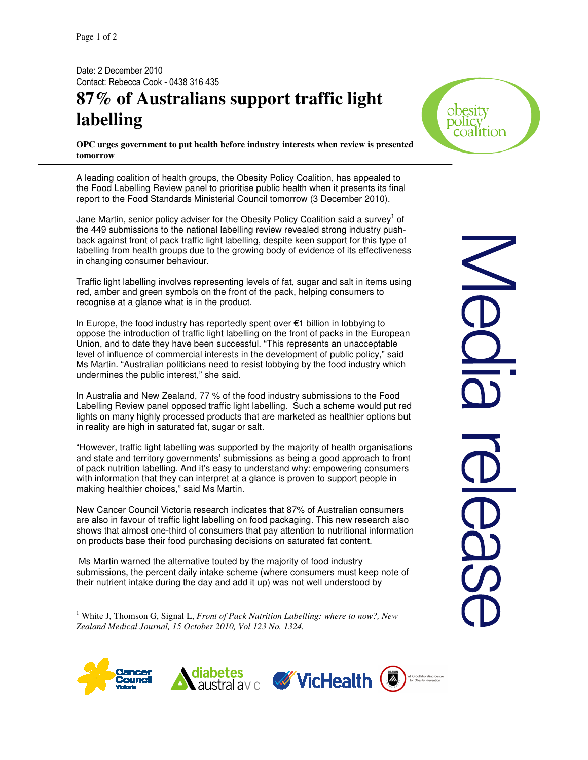Date: 2 December 2010 Contact: Rebecca Cook - 0438 316 435

## **87% of Australians support traffic light labelling**

**OPC urges government to put health before industry interests when review is presented tomorrow** 

A leading coalition of health groups, the Obesity Policy Coalition, has appealed to the Food Labelling Review panel to prioritise public health when it presents its final report to the Food Standards Ministerial Council tomorrow (3 December 2010).

Jane Martin, senior policy adviser for the Obesity Policy Coalition said a survey $^1$  of the 449 submissions to the national labelling review revealed strong industry pushback against front of pack traffic light labelling, despite keen support for this type of labelling from health groups due to the growing body of evidence of its effectiveness in changing consumer behaviour.

Traffic light labelling involves representing levels of fat, sugar and salt in items using red, amber and green symbols on the front of the pack, helping consumers to recognise at a glance what is in the product.

In Europe, the food industry has reportedly spent over €1 billion in lobbying to oppose the introduction of traffic light labelling on the front of packs in the European Union, and to date they have been successful. "This represents an unacceptable level of influence of commercial interests in the development of public policy," said Ms Martin. "Australian politicians need to resist lobbying by the food industry which undermines the public interest," she said.

In Australia and New Zealand, 77 % of the food industry submissions to the Food Labelling Review panel opposed traffic light labelling. Such a scheme would put red lights on many highly processed products that are marketed as healthier options but in reality are high in saturated fat, sugar or salt.

"However, traffic light labelling was supported by the majority of health organisations and state and territory governments' submissions as being a good approach to front of pack nutrition labelling. And it's easy to understand why: empowering consumers with information that they can interpret at a glance is proven to support people in making healthier choices," said Ms Martin.

New Cancer Council Victoria research indicates that 87% of Australian consumers are also in favour of traffic light labelling on food packaging. This new research also shows that almost one-third of consumers that pay attention to nutritional information on products base their food purchasing decisions on saturated fat content.

 Ms Martin warned the alternative touted by the majority of food industry submissions, the percent daily intake scheme (where consumers must keep note of their nutrient intake during the day and add it up) was not well understood by

<sup>1</sup> White J, Thomson G, Signal L, *Front of Pack Nutrition Labelling: where to now?*, New *Zealand Medical Journal, 15 October 2010, Vol 123 No. 1324.* 



-







Obesity DO 11 C

coalition